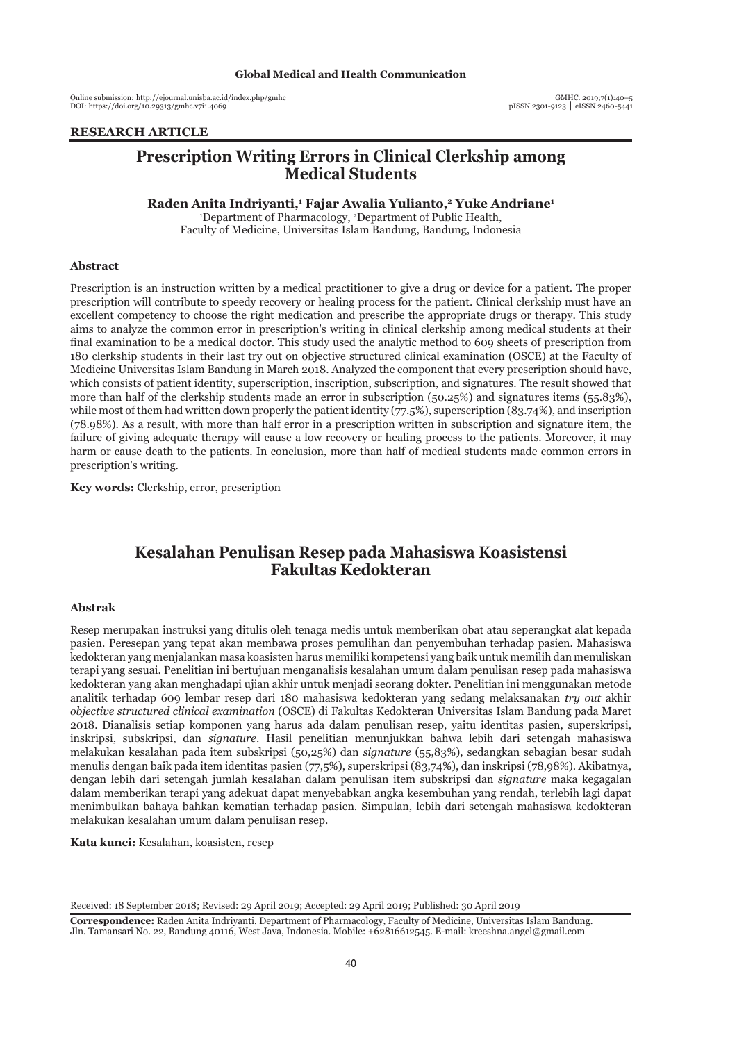Online submission: http://ejournal.unisba.ac.id/index.php/gmhc DOI: pISSN 2301-9123 │ eISSN 2460-5441 https://doi.org/10.29313/gmhc.v7i1.4069

#### **RESEARCH ARTICLE**

# **Prescription Writing Errors in Clinical Clerkship among Medical Students**

**Raden Anita Indriyanti,1 Fajar Awalia Yulianto,2 Yuke Andriane1**

1 Department of Pharmacology, 2 Department of Public Health, Faculty of Medicine, Universitas Islam Bandung, Bandung, Indonesia

#### **Abstract**

Prescription is an instruction written by a medical practitioner to give a drug or device for a patient. The proper prescription will contribute to speedy recovery or healing process for the patient. Clinical clerkship must have an excellent competency to choose the right medication and prescribe the appropriate drugs or therapy. This study aims to analyze the common error in prescription's writing in clinical clerkship among medical students at their final examination to be a medical doctor. This study used the analytic method to 609 sheets of prescription from 180 clerkship students in their last try out on objective structured clinical examination (OSCE) at the Faculty of Medicine Universitas Islam Bandung in March 2018. Analyzed the component that every prescription should have, which consists of patient identity, superscription, inscription, subscription, and signatures. The result showed that more than half of the clerkship students made an error in subscription (50.25%) and signatures items (55.83%), while most of them had written down properly the patient identity (77.5%), superscription (83.74%), and inscription (78.98%). As a result, with more than half error in a prescription written in subscription and signature item, the failure of giving adequate therapy will cause a low recovery or healing process to the patients. Moreover, it may harm or cause death to the patients. In conclusion, more than half of medical students made common errors in prescription's writing.

**Key words:** Clerkship, error, prescription

# **Kesalahan Penulisan Resep pada Mahasiswa Koasistensi Fakultas Kedokteran**

#### **Abstrak**

Resep merupakan instruksi yang ditulis oleh tenaga medis untuk memberikan obat atau seperangkat alat kepada pasien. Peresepan yang tepat akan membawa proses pemulihan dan penyembuhan terhadap pasien. Mahasiswa kedokteran yang menjalankan masa koasisten harus memiliki kompetensi yang baik untuk memilih dan menuliskan terapi yang sesuai. Penelitian ini bertujuan menganalisis kesalahan umum dalam penulisan resep pada mahasiswa kedokteran yang akan menghadapi ujian akhir untuk menjadi seorang dokter. Penelitian ini menggunakan metode analitik terhadap 609 lembar resep dari 180 mahasiswa kedokteran yang sedang melaksanakan *try out* akhir *objective structured clinical examination* (OSCE) di Fakultas Kedokteran Universitas Islam Bandung pada Maret 2018. Dianalisis setiap komponen yang harus ada dalam penulisan resep, yaitu identitas pasien, superskripsi, inskripsi, subskripsi, dan *signature*. Hasil penelitian menunjukkan bahwa lebih dari setengah mahasiswa melakukan kesalahan pada item subskripsi (50,25%) dan *signature* (55,83%), sedangkan sebagian besar sudah menulis dengan baik pada item identitas pasien (77,5%), superskripsi (83,74%), dan inskripsi (78,98%). Akibatnya, dengan lebih dari setengah jumlah kesalahan dalam penulisan item subskripsi dan *signature* maka kegagalan dalam memberikan terapi yang adekuat dapat menyebabkan angka kesembuhan yang rendah, terlebih lagi dapat menimbulkan bahaya bahkan kematian terhadap pasien. Simpulan, lebih dari setengah mahasiswa kedokteran melakukan kesalahan umum dalam penulisan resep.

**Kata kunci:** Kesalahan, koasisten, resep

Received: 18 September 2018; Revised: 29 April 2019; Accepted: 29 April 2019; Published: 30 April 2019

**Correspondence:** Raden Anita Indriyanti. Department of Pharmacology, Faculty of Medicine, Universitas Islam Bandung. Jln. Tamansari No. 22, Bandung 40116, West Java, Indonesia. Mobile: +62816612545. E-mail: kreeshna.angel@gmail.com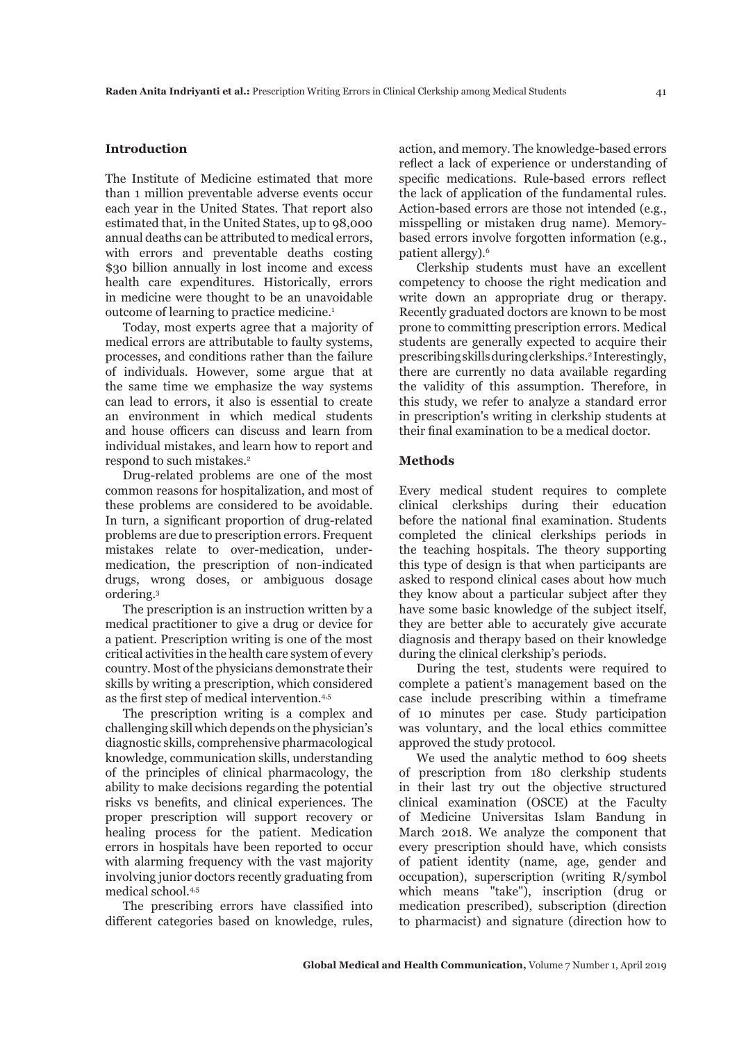#### **Introduction**

The Institute of Medicine estimated that more than 1 million preventable adverse events occur each year in the United States. That report also estimated that, in the United States, up to 98,000 annual deaths can be attributed to medical errors, with errors and preventable deaths costing \$30 billion annually in lost income and excess health care expenditures. Historically, errors in medicine were thought to be an unavoidable outcome of learning to practice medicine.1

Today, most experts agree that a majority of medical errors are attributable to faulty systems, processes, and conditions rather than the failure of individuals. However, some argue that at the same time we emphasize the way systems can lead to errors, it also is essential to create an environment in which medical students and house officers can discuss and learn from individual mistakes, and learn how to report and respond to such mistakes.<sup>2</sup>

Drug-related problems are one of the most common reasons for hospitalization, and most of these problems are considered to be avoidable. In turn, a significant proportion of drug-related problems are due to prescription errors. Frequent mistakes relate to over-medication, undermedication, the prescription of non-indicated drugs, wrong doses, or ambiguous dosage ordering.3

The prescription is an instruction written by a medical practitioner to give a drug or device for a patient. Prescription writing is one of the most critical activities in the health care system of every country. Most of the physicians demonstrate their skills by writing a prescription, which considered as the first step of medical intervention.4,5

The prescription writing is a complex and challenging skill which depends on the physician's diagnostic skills, comprehensive pharmacological knowledge, communication skills, understanding of the principles of clinical pharmacology, the ability to make decisions regarding the potential risks vs benefits, and clinical experiences. The proper prescription will support recovery or healing process for the patient. Medication errors in hospitals have been reported to occur with alarming frequency with the vast majority involving junior doctors recently graduating from medical school.<sup>4,5</sup>

The prescribing errors have classified into different categories based on knowledge, rules,

action, and memory. The knowledge-based errors reflect a lack of experience or understanding of specific medications. Rule-based errors reflect the lack of application of the fundamental rules. Action-based errors are those not intended (e.g., misspelling or mistaken drug name). Memorybased errors involve forgotten information (e.g., patient allergy).6

Clerkship students must have an excellent competency to choose the right medication and write down an appropriate drug or therapy. Recently graduated doctors are known to be most prone to committing prescription errors. Medical students are generally expected to acquire their prescribing skills during clerkships.<sup>2</sup> Interestingly, there are currently no data available regarding the validity of this assumption. Therefore, in this study, we refer to analyze a standard error in prescription's writing in clerkship students at their final examination to be a medical doctor.

## **Methods**

Every medical student requires to complete clinical clerkships during their education before the national final examination. Students completed the clinical clerkships periods in the teaching hospitals. The theory supporting this type of design is that when participants are asked to respond clinical cases about how much they know about a particular subject after they have some basic knowledge of the subject itself, they are better able to accurately give accurate diagnosis and therapy based on their knowledge during the clinical clerkship's periods.

During the test, students were required to complete a patient's management based on the case include prescribing within a timeframe of 10 minutes per case. Study participation was voluntary, and the local ethics committee approved the study protocol.

We used the analytic method to 609 sheets of prescription from 180 clerkship students in their last try out the objective structured clinical examination (OSCE) at the Faculty of Medicine Universitas Islam Bandung in March 2018. We analyze the component that every prescription should have, which consists of patient identity (name, age, gender and occupation), superscription (writing R/symbol which means "take"), inscription (drug or medication prescribed), subscription (direction to pharmacist) and signature (direction how to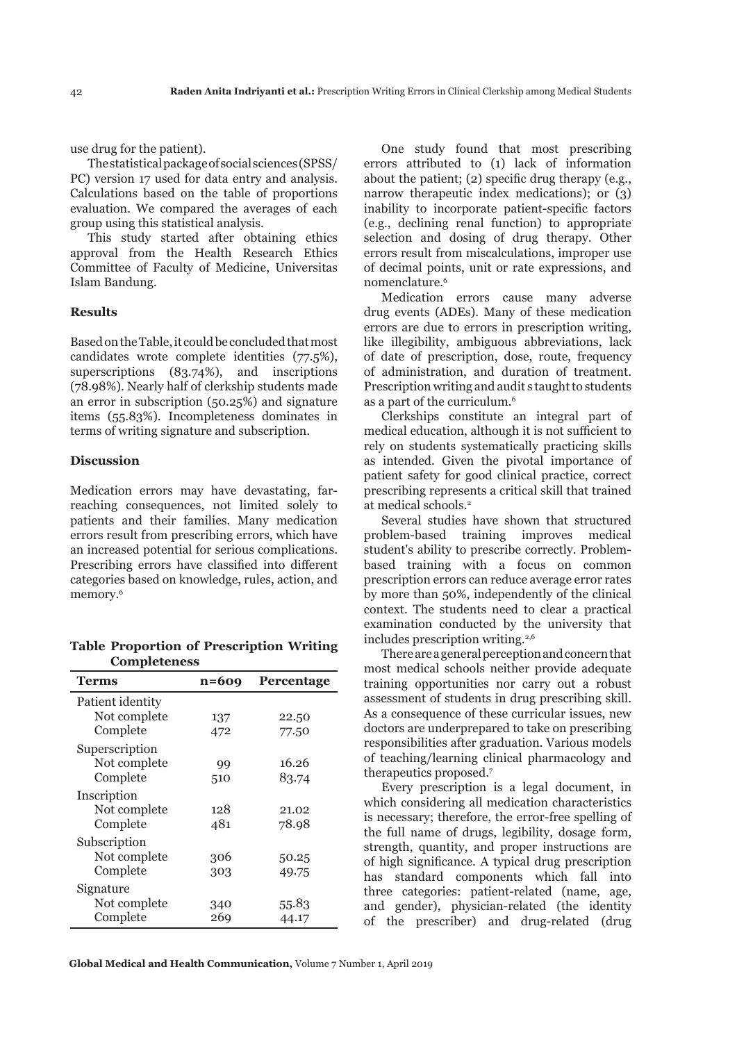use drug for the patient).

The statistical package of social sciences (SPSS/ PC) version 17 used for data entry and analysis. Calculations based on the table of proportions evaluation. We compared the averages of each group using this statistical analysis.

This study started after obtaining ethics approval from the Health Research Ethics Committee of Faculty of Medicine, Universitas Islam Bandung.

#### **Results**

Based on the Table, it could be concluded that most candidates wrote complete identities (77.5%), superscriptions (83.74%), and inscriptions (78.98%). Nearly half of clerkship students made an error in subscription (50.25%) and signature items (55.83%). Incompleteness dominates in terms of writing signature and subscription.

## **Discussion**

Medication errors may have devastating, farreaching consequences, not limited solely to patients and their families. Many medication errors result from prescribing errors, which have an increased potential for serious complications. Prescribing errors have classified into different categories based on knowledge, rules, action, and memory.<sup>6</sup>

**Table Proportion of Prescription Writing Completeness**

| Terms            | $n=609$ | Percentage |
|------------------|---------|------------|
| Patient identity |         |            |
| Not complete     | 137     | 22.50      |
| Complete         | 472     | 77.50      |
| Superscription   |         |            |
| Not complete     | 99      | 16.26      |
| Complete         | 510     | 83.74      |
| Inscription      |         |            |
| Not complete     | 128     | 21.02      |
| Complete         | 481     | 78.98      |
| Subscription     |         |            |
| Not complete     | 306     | 50.25      |
| Complete         | 303     | 49.75      |
| Signature        |         |            |
| Not complete     | 340     | 55.83      |
| Complete         | 269     | 44.17      |

One study found that most prescribing errors attributed to (1) lack of information about the patient; (2) specific drug therapy (e.g., narrow therapeutic index medications); or (3) inability to incorporate patient-specific factors (e.g., declining renal function) to appropriate selection and dosing of drug therapy. Other errors result from miscalculations, improper use of decimal points, unit or rate expressions, and nomenclature<sup>6</sup>

Medication errors cause many adverse drug events (ADEs). Many of these medication errors are due to errors in prescription writing, like illegibility, ambiguous abbreviations, lack of date of prescription, dose, route, frequency of administration, and duration of treatment. Prescription writing and audit s taught to students as a part of the curriculum.<sup>6</sup>

Clerkships constitute an integral part of medical education, although it is not sufficient to rely on students systematically practicing skills as intended. Given the pivotal importance of patient safety for good clinical practice, correct prescribing represents a critical skill that trained at medical schools<sup>2</sup>

Several studies have shown that structured problem-based training improves medical student's ability to prescribe correctly. Problembased training with a focus on common prescription errors can reduce average error rates by more than 50%, independently of the clinical context. The students need to clear a practical examination conducted by the university that includes prescription writing.<sup>2,6</sup>

There are a general perception and concern that most medical schools neither provide adequate training opportunities nor carry out a robust assessment of students in drug prescribing skill. As a consequence of these curricular issues, new doctors are underprepared to take on prescribing responsibilities after graduation. Various models of teaching/learning clinical pharmacology and therapeutics proposed.<sup>7</sup>

Every prescription is a legal document, in which considering all medication characteristics is necessary; therefore, the error-free spelling of the full name of drugs, legibility, dosage form, strength, quantity, and proper instructions are of high significance. A typical drug prescription has standard components which fall into three categories: patient-related (name, age, and gender), physician-related (the identity of the prescriber) and drug-related (drug

**Global Medical and Health Communication,** Volume 7 Number 1, April 2019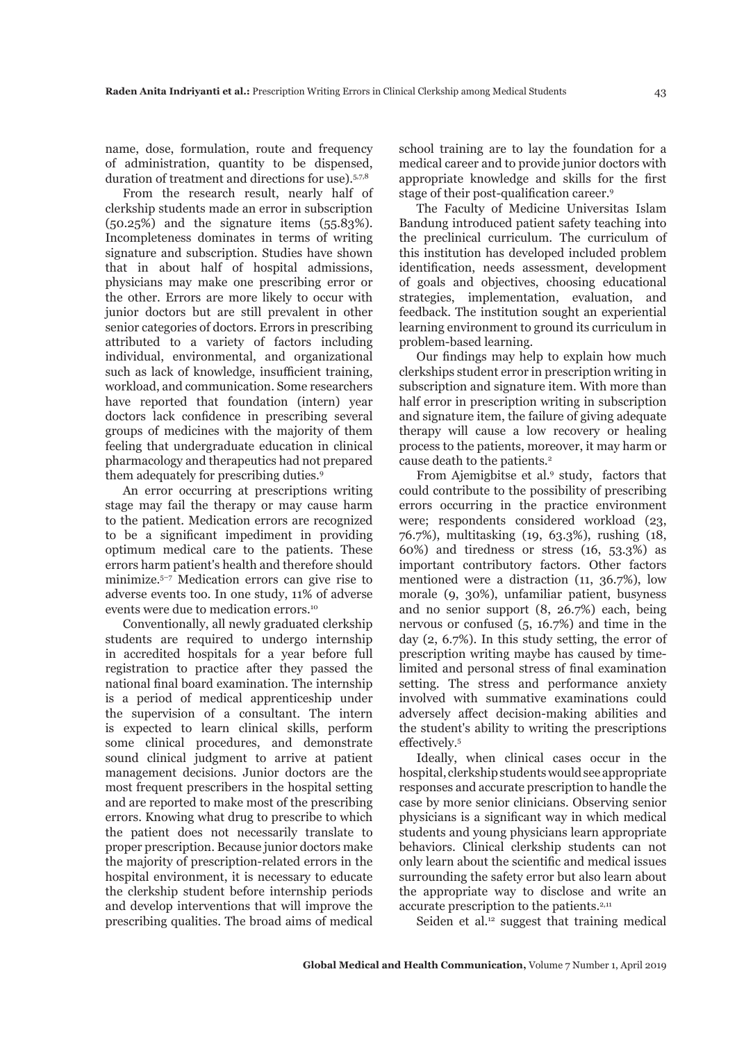name, dose, formulation, route and frequency of administration, quantity to be dispensed, duration of treatment and directions for use).<sup>5,7,8</sup>

From the research result, nearly half of clerkship students made an error in subscription (50.25%) and the signature items (55.83%). Incompleteness dominates in terms of writing signature and subscription. Studies have shown that in about half of hospital admissions, physicians may make one prescribing error or the other. Errors are more likely to occur with junior doctors but are still prevalent in other senior categories of doctors. Errors in prescribing attributed to a variety of factors including individual, environmental, and organizational such as lack of knowledge, insufficient training, workload, and communication. Some researchers have reported that foundation (intern) year doctors lack confidence in prescribing several groups of medicines with the majority of them feeling that undergraduate education in clinical pharmacology and therapeutics had not prepared them adequately for prescribing duties.9

An error occurring at prescriptions writing stage may fail the therapy or may cause harm to the patient. Medication errors are recognized to be a significant impediment in providing optimum medical care to the patients. These errors harm patient's health and therefore should minimize.5–7 Medication errors can give rise to adverse events too. In one study, 11% of adverse events were due to medication errors.<sup>10</sup>

Conventionally, all newly graduated clerkship students are required to undergo internship in accredited hospitals for a year before full registration to practice after they passed the national final board examination. The internship is a period of medical apprenticeship under the supervision of a consultant. The intern is expected to learn clinical skills, perform some clinical procedures, and demonstrate sound clinical judgment to arrive at patient management decisions. Junior doctors are the most frequent prescribers in the hospital setting and are reported to make most of the prescribing errors. Knowing what drug to prescribe to which the patient does not necessarily translate to proper prescription. Because junior doctors make the majority of prescription-related errors in the hospital environment, it is necessary to educate the clerkship student before internship periods and develop interventions that will improve the prescribing qualities. The broad aims of medical

school training are to lay the foundation for a medical career and to provide junior doctors with appropriate knowledge and skills for the first stage of their post-qualification career.<sup>9</sup>

The Faculty of Medicine Universitas Islam Bandung introduced patient safety teaching into the preclinical curriculum. The curriculum of this institution has developed included problem identification, needs assessment, development of goals and objectives, choosing educational strategies, implementation, evaluation, and feedback. The institution sought an experiential learning environment to ground its curriculum in problem-based learning.

Our findings may help to explain how much clerkships student error in prescription writing in subscription and signature item. With more than half error in prescription writing in subscription and signature item, the failure of giving adequate therapy will cause a low recovery or healing process to the patients, moreover, it may harm or cause death to the patients.<sup>2</sup>

From Ajemigbitse et al.<sup>9</sup> study, factors that could contribute to the possibility of prescribing errors occurring in the practice environment were; respondents considered workload (23, 76.7%), multitasking (19, 63.3%), rushing (18, 60%) and tiredness or stress (16, 53.3%) as important contributory factors. Other factors mentioned were a distraction (11, 36.7%), low morale (9, 30%), unfamiliar patient, busyness and no senior support (8, 26.7%) each, being nervous or confused (5, 16.7%) and time in the day (2, 6.7%). In this study setting, the error of prescription writing maybe has caused by timelimited and personal stress of final examination setting. The stress and performance anxiety involved with summative examinations could adversely affect decision-making abilities and the student's ability to writing the prescriptions effectively.5

Ideally, when clinical cases occur in the hospital, clerkship students would see appropriate responses and accurate prescription to handle the case by more senior clinicians. Observing senior physicians is a significant way in which medical students and young physicians learn appropriate behaviors. Clinical clerkship students can not only learn about the scientific and medical issues surrounding the safety error but also learn about the appropriate way to disclose and write an accurate prescription to the patients.<sup>2,11</sup>

Seiden et al.<sup>12</sup> suggest that training medical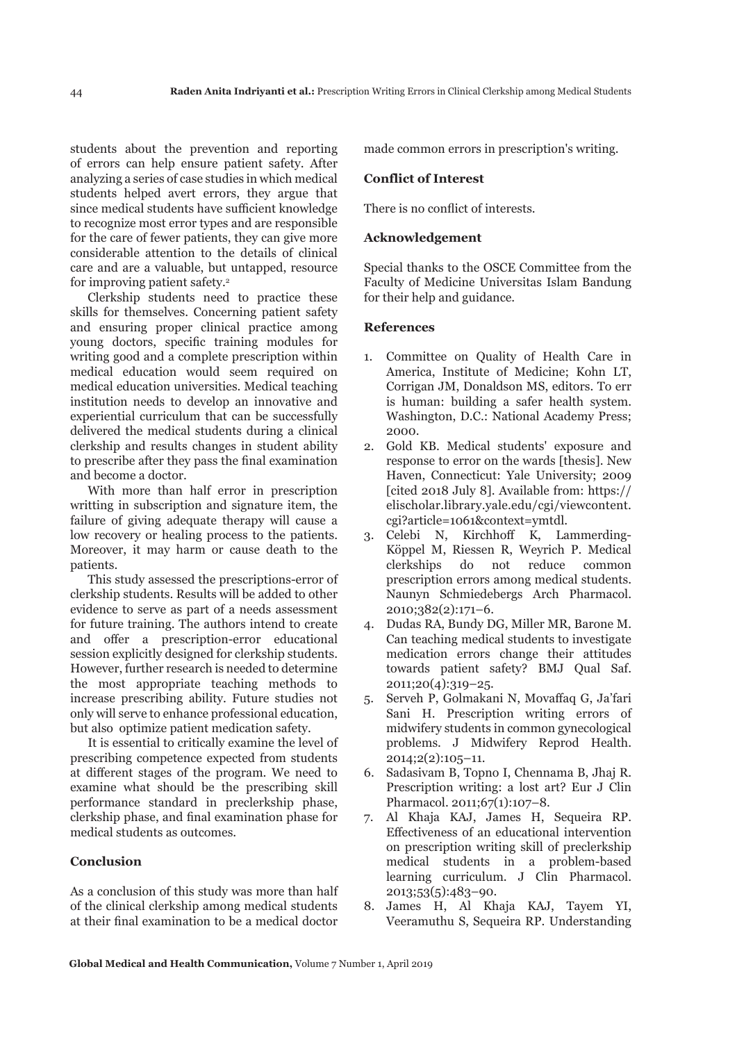students about the prevention and reporting of errors can help ensure patient safety. After analyzing a series of case studies in which medical students helped avert errors, they argue that since medical students have sufficient knowledge to recognize most error types and are responsible for the care of fewer patients, they can give more considerable attention to the details of clinical care and are a valuable, but untapped, resource for improving patient safety.2

Clerkship students need to practice these skills for themselves. Concerning patient safety and ensuring proper clinical practice among young doctors, specific training modules for writing good and a complete prescription within medical education would seem required on medical education universities. Medical teaching institution needs to develop an innovative and experiential curriculum that can be successfully delivered the medical students during a clinical clerkship and results changes in student ability to prescribe after they pass the final examination and become a doctor.

With more than half error in prescription writting in subscription and signature item, the failure of giving adequate therapy will cause a low recovery or healing process to the patients. Moreover, it may harm or cause death to the patients.

This study assessed the prescriptions-error of clerkship students. Results will be added to other evidence to serve as part of a needs assessment for future training. The authors intend to create and offer a prescription-error educational session explicitly designed for clerkship students. However, further research is needed to determine the most appropriate teaching methods to increase prescribing ability. Future studies not only will serve to enhance professional education, but also optimize patient medication safety.

It is essential to critically examine the level of prescribing competence expected from students at different stages of the program. We need to examine what should be the prescribing skill performance standard in preclerkship phase, clerkship phase, and final examination phase for medical students as outcomes.

# **Conclusion**

As a conclusion of this study was more than half of the clinical clerkship among medical students at their final examination to be a medical doctor

made common errors in prescription's writing.

### **Conflict of Interest**

There is no conflict of interests.

# **Acknowledgement**

Special thanks to the OSCE Committee from the Faculty of Medicine Universitas Islam Bandung for their help and guidance.

## **References**

- 1. Committee on Quality of Health Care in America, Institute of Medicine; Kohn LT, Corrigan JM, Donaldson MS, editors. To err is human: building a safer health system. Washington, D.C.: National Academy Press; 2000.
- 2. Gold KB. Medical students' exposure and response to error on the wards [thesis]. New Haven, Connecticut: Yale University; 2009 [cited 2018 July 8]. Available from: https:// elischolar.library.yale.edu/cgi/viewcontent. cgi?article=1061&context=ymtdl.
- 3. Celebi N, Kirchhoff K, Lammerding-Köppel M, Riessen R, Weyrich P. Medical clerkships do not reduce common prescription errors among medical students. Naunyn Schmiedebergs Arch Pharmacol. 2010;382(2):171–6.
- 4. Dudas RA, Bundy DG, Miller MR, Barone M. Can teaching medical students to investigate medication errors change their attitudes towards patient safety? BMJ Qual Saf. 2011;20(4):319–25.
- 5. Serveh P, Golmakani N, Movaffaq G, Ja'fari Sani H. Prescription writing errors of midwifery students in common gynecological problems. J Midwifery Reprod Health. 2014;2(2):105–11.
- 6. Sadasivam B, Topno I, Chennama B, Jhaj R. Prescription writing: a lost art? Eur J Clin Pharmacol. 2011;67(1):107–8.
- 7. Al Khaja KAJ, James H, Sequeira RP. Effectiveness of an educational intervention on prescription writing skill of preclerkship medical students in a problem-based learning curriculum. J Clin Pharmacol. 2013;53(5):483–90.
- 8. James H, Al Khaja KAJ, Tayem YI, Veeramuthu S, Sequeira RP. Understanding